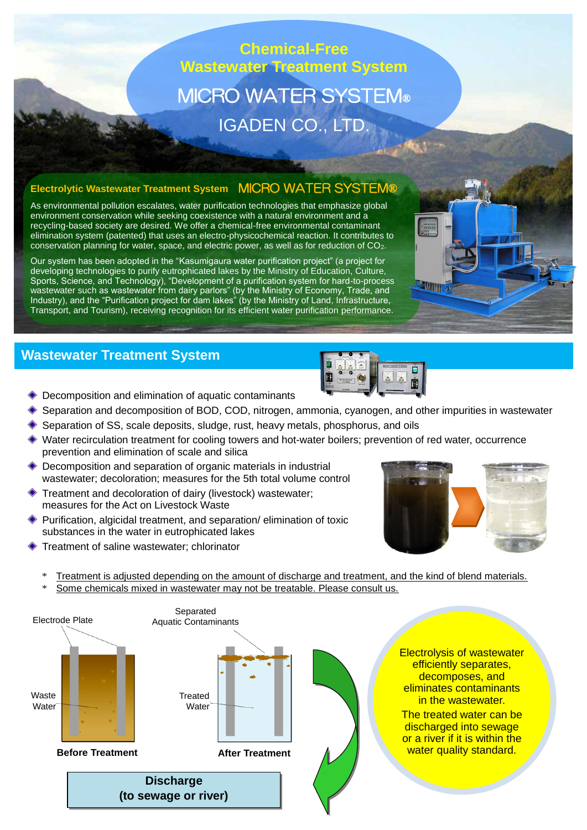# **Chemical-Free Wastewater Treatment System** MICRO WATER SYSTEM® IGADEN CO., LTD.

#### **Electrolytic Wastewater Treatment System** MICRO WATER SYSTEM®

As environmental pollution escalates, water purification technologies that emphasize global environment conservation while seeking coexistence with a natural environment and a recycling-based society are desired. We offer a chemical-free environmental contaminant elimination system (patented) that uses an electro-physicochemical reaction. It contributes to conservation planning for water, space, and electric power, as well as for reduction of CO2.

Our system has been adopted in the "Kasumigaura water purification project" (a project for developing technologies to purify eutrophicated lakes by the Ministry of Education, Culture, Sports, Science, and Technology), "Development of a purification system for hard-to-process wastewater such as wastewater from dairy parlors" (by the Ministry of Economy, Trade, and Industry), and the "Purification project for dam lakes" (by the Ministry of Land, Infrastructure, Transport, and Tourism), receiving recognition for its efficient water purification performance.

### **Wastewater Treatment System**



**AVINT** 

- Decomposition and elimination of aquatic contaminants
- Separation and decomposition of BOD, COD, nitrogen, ammonia, cyanogen, and other impurities in wastewater
- ◆ Separation of SS, scale deposits, sludge, rust, heavy metals, phosphorus, and oils
- Water recirculation treatment for cooling towers and hot-water boilers; prevention of red water, occurrence prevention and elimination of scale and silica
- Decomposition and separation of organic materials in industrial wastewater; decoloration; measures for the 5th total volume control
- Treatment and decoloration of dairy (livestock) wastewater; measures for the Act on Livestock Waste
- Purification, algicidal treatment, and separation/ elimination of toxic substances in the water in eutrophicated lakes
- Treatment of saline wastewater; chlorinator



Treatment is adjusted depending on the amount of discharge and treatment, and the kind of blend materials. Some chemicals mixed in wastewater may not be treatable. Please consult us.

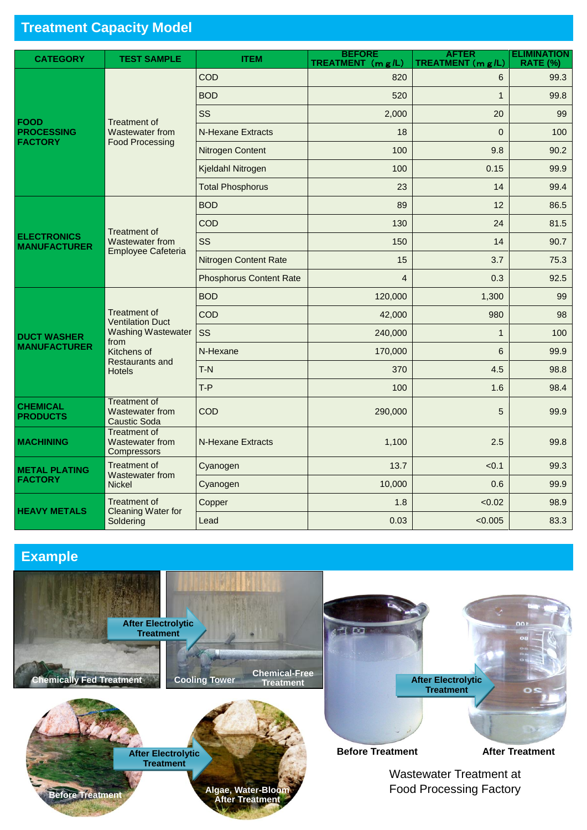## **Treatment Capacity Model**

| <b>CATEGORY</b>                                    | <b>TEST SAMPLE</b>                                                                                                                            | <b>ITEM</b>                    | <b>BEFORE</b><br><b>TREATMENT</b> $(mg/L)$ | <b>AFTER</b><br>TREATMENT (m g/L) | <b>ELIMINATION</b><br><b>RATE (%)</b> |
|----------------------------------------------------|-----------------------------------------------------------------------------------------------------------------------------------------------|--------------------------------|--------------------------------------------|-----------------------------------|---------------------------------------|
| <b>FOOD</b><br><b>PROCESSING</b><br><b>FACTORY</b> | <b>Treatment of</b><br>Wastewater from<br><b>Food Processing</b>                                                                              | COD                            | 820                                        | 6                                 | 99.3                                  |
|                                                    |                                                                                                                                               | <b>BOD</b>                     | 520                                        | 1                                 | 99.8                                  |
|                                                    |                                                                                                                                               | SS                             | 2,000                                      | 20                                | 99                                    |
|                                                    |                                                                                                                                               | <b>N-Hexane Extracts</b>       | 18                                         | $\Omega$                          | 100                                   |
|                                                    |                                                                                                                                               | Nitrogen Content               | 100                                        | 9.8                               | 90.2                                  |
|                                                    |                                                                                                                                               | Kjeldahl Nitrogen              | 100                                        | 0.15                              | 99.9                                  |
|                                                    |                                                                                                                                               | <b>Total Phosphorus</b>        | 23                                         | 14                                | 99.4                                  |
| <b>ELECTRONICS</b><br><b>MANUFACTURER</b>          | <b>Treatment of</b><br><b>Wastewater from</b><br>Employee Cafeteria                                                                           | <b>BOD</b>                     | 89                                         | 12                                | 86.5                                  |
|                                                    |                                                                                                                                               | COD                            | 130                                        | 24                                | 81.5                                  |
|                                                    |                                                                                                                                               | SS                             | 150                                        | 14                                | 90.7                                  |
|                                                    |                                                                                                                                               | <b>Nitrogen Content Rate</b>   | 15                                         | 3.7                               | 75.3                                  |
|                                                    |                                                                                                                                               | <b>Phosphorus Content Rate</b> | $\overline{4}$                             | 0.3                               | 92.5                                  |
| <b>DUCT WASHER</b><br><b>MANUFACTURER</b>          | <b>Treatment of</b><br><b>Ventilation Duct</b><br><b>Washing Wastewater</b><br>from<br>Kitchens of<br><b>Restaurants and</b><br><b>Hotels</b> | <b>BOD</b>                     | 120,000                                    | 1,300                             | 99                                    |
|                                                    |                                                                                                                                               | <b>COD</b>                     | 42,000                                     | 980                               | 98                                    |
|                                                    |                                                                                                                                               | SS                             | 240,000                                    | $\mathbf{1}$                      | 100                                   |
|                                                    |                                                                                                                                               | N-Hexane                       | 170,000                                    | 6                                 | 99.9                                  |
|                                                    |                                                                                                                                               | $T-N$                          | 370                                        | 4.5                               | 98.8                                  |
|                                                    |                                                                                                                                               | $T-P$                          | 100                                        | 1.6                               | 98.4                                  |
| <b>CHEMICAL</b><br><b>PRODUCTS</b>                 | <b>Treatment of</b><br>Wastewater from<br><b>Caustic Soda</b>                                                                                 | COD                            | 290,000                                    | 5                                 | 99.9                                  |
| <b>MACHINING</b>                                   | <b>Treatment of</b><br>Wastewater from<br>Compressors                                                                                         | N-Hexane Extracts              | 1,100                                      | 2.5                               | 99.8                                  |
| <b>METAL PLATING</b><br><b>FACTORY</b>             | <b>Treatment of</b><br>Wastewater from<br>Nickel                                                                                              | Cyanogen                       | 13.7                                       | < 0.1                             | 99.3                                  |
|                                                    |                                                                                                                                               | Cyanogen                       | 10,000                                     | 0.6                               | 99.9                                  |
| <b>HEAVY METALS</b>                                | Treatment of<br><b>Cleaning Water for</b><br>Soldering                                                                                        | Copper                         | 1.8                                        | < 0.02                            | 98.9                                  |
|                                                    |                                                                                                                                               | Lead                           | 0.03                                       | < 0.005                           | 83.3                                  |

## **Example**